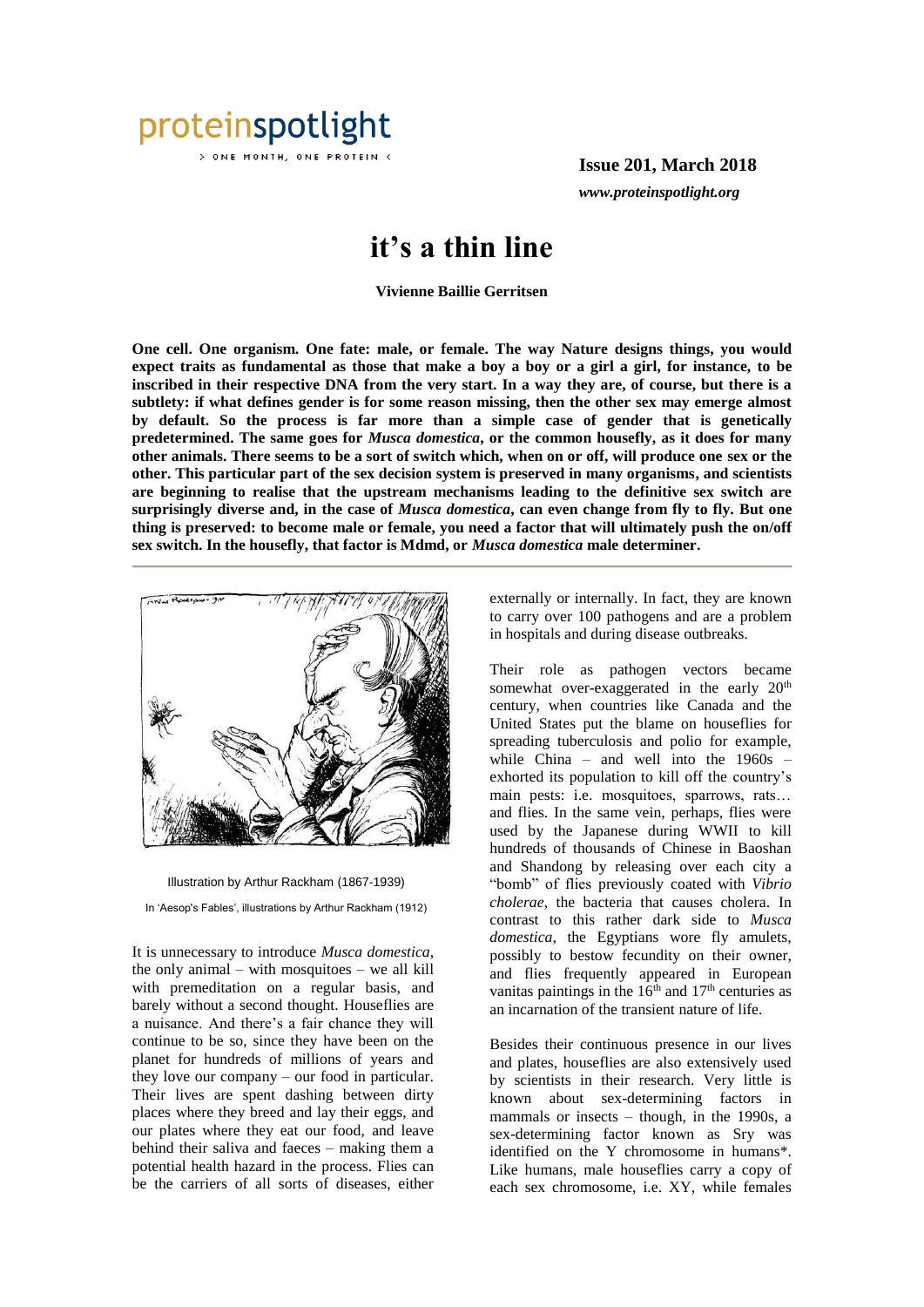

ONE MONTH, ONE PROTEIN <

**Issue 201, March 2018** *www.proteinspotlight.org*

## **it's a thin line**

**Vivienne Baillie Gerritsen**

**One cell. One organism. One fate: male, or female. The way Nature designs things, you would expect traits as fundamental as those that make a boy a boy or a girl a girl, for instance, to be inscribed in their respective DNA from the very start. In a way they are, of course, but there is a subtlety: if what defines gender is for some reason missing, then the other sex may emerge almost by default. So the process is far more than a simple case of gender that is genetically predetermined. The same goes for** *Musca domestica***, or the common housefly, as it does for many other animals. There seems to be a sort of switch which, when on or off, will produce one sex or the other. This particular part of the sex decision system is preserved in many organisms, and scientists are beginning to realise that the upstream mechanisms leading to the definitive sex switch are surprisingly diverse and, in the case of** *Musca domestica***, can even change from fly to fly. But one thing is preserved: to become male or female, you need a factor that will ultimately push the on/off sex switch. In the housefly, that factor is Mdmd, or** *Musca domestica* **male determiner.** 





In 'Aesop's Fables', illustrations by Arthur Rackham (1912)

It is unnecessary to introduce *Musca domestica*, the only animal – with mosquitoes – we all kill with premeditation on a regular basis, and barely without a second thought. Houseflies are a nuisance. And there's a fair chance they will continue to be so, since they have been on the planet for hundreds of millions of years and they love our company – our food in particular. Their lives are spent dashing between dirty places where they breed and lay their eggs, and our plates where they eat our food, and leave behind their saliva and faeces – making them a potential health hazard in the process. Flies can be the carriers of all sorts of diseases, either

externally or internally. In fact, they are known to carry over 100 pathogens and are a problem in hospitals and during disease outbreaks.

Their role as pathogen vectors became somewhat over-exaggerated in the early 20<sup>th</sup> century, when countries like Canada and the United States put the blame on houseflies for spreading tuberculosis and polio for example, while China – and well into the 1960s – exhorted its population to kill off the country's main pests: i.e. mosquitoes, sparrows, rats… and flies. In the same vein, perhaps, flies were used by the Japanese during WWII to kill hundreds of thousands of Chinese in Baoshan and Shandong by releasing over each city a "bomb" of flies previously coated with *Vibrio cholerae*, the bacteria that causes cholera. In contrast to this rather dark side to *Musca domestica*, the Egyptians wore fly amulets, possibly to bestow fecundity on their owner, and flies frequently appeared in European vanitas paintings in the  $16<sup>th</sup>$  and  $17<sup>th</sup>$  centuries as an incarnation of the transient nature of life.

Besides their continuous presence in our lives and plates, houseflies are also extensively used by scientists in their research. Very little is known about sex-determining factors in mammals or insects – though, in the 1990s, a sex-determining factor known as Sry was identified on the Y chromosome in humans\*. Like humans, male houseflies carry a copy of each sex chromosome, i.e. XY, while females